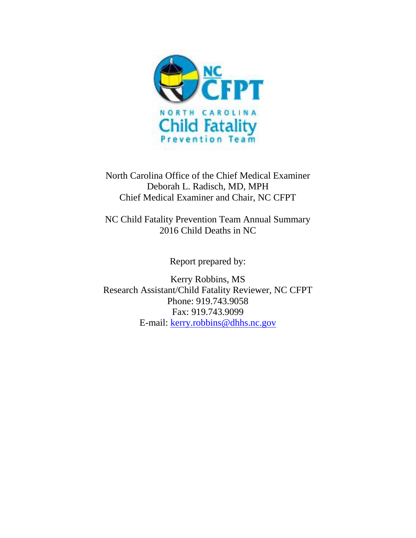

North Carolina Office of the Chief Medical Examiner Deborah L. Radisch, MD, MPH Chief Medical Examiner and Chair, NC CFPT

NC Child Fatality Prevention Team Annual Summary 2016 Child Deaths in NC

Report prepared by:

Kerry Robbins, MS Research Assistant/Child Fatality Reviewer, NC CFPT Phone: 919.743.9058 Fax: 919.743.9099 E-mail: [kerry.robbins@dhhs.nc.gov](mailto:kerry.robbins@dhhs.nc.gov)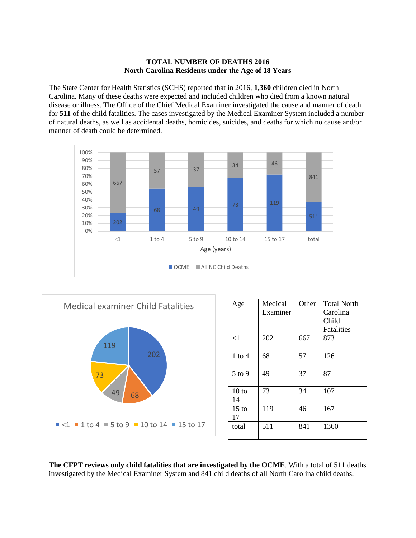# **TOTAL NUMBER OF DEATHS 2016 North Carolina Residents under the Age of 18 Years**

The State Center for Health Statistics (SCHS) reported that in 2016, **1,360** children died in North Carolina. Many of these deaths were expected and included children who died from a known natural disease or illness. The Office of the Chief Medical Examiner investigated the cause and manner of death for **511** of the child fatalities. The cases investigated by the Medical Examiner System included a number of natural deaths, as well as accidental deaths, homicides, suicides, and deaths for which no cause and/or manner of death could be determined.





**The CFPT reviews only child fatalities that are investigated by the OCME**. With a total of 511 deaths investigated by the Medical Examiner System and 841 child deaths of all North Carolina child deaths,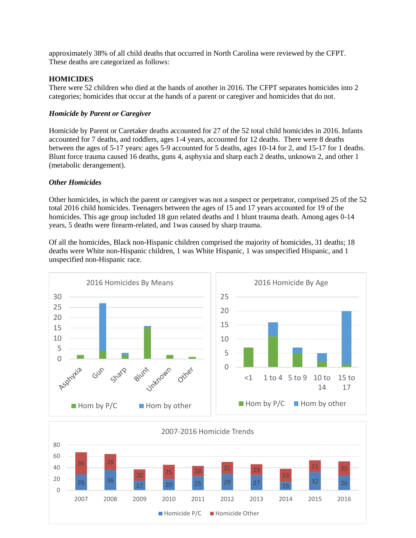approximately 38% of all child deaths that occurred in North Carolina were reviewed by the CFPT. These deaths are categorized as follows:

# **HOMICIDES**

There were 52 children who died at the hands of another in 2016. The CFPT separates homicides into 2 categories; homicides that occur at the hands of a parent or caregiver and homicides that do not.

#### *Homicide by Parent or Caregiver*

Homicide by Parent or Caretaker deaths accounted for 27 of the 52 total child homicides in 2016. Infants accounted for 7 deaths, and toddlers, ages 1-4 years, accounted for 12 deaths. There were 8 deaths between the ages of 5-17 years: ages 5-9 accounted for 5 deaths, ages 10-14 for 2, and 15-17 for 1 deaths. Blunt force trauma caused 16 deaths, guns 4, asphyxia and sharp each 2 deaths, unknown 2, and other 1 (metabolic derangement).

#### *Other Homicides*

Other homicides, in which the parent or caregiver was not a suspect or perpetrator, comprised 25 of the 52 total 2016 child homicides. Teenagers between the ages of 15 and 17 years accounted for 19 of the homicides. This age group included 18 gun related deaths and 1 blunt trauma death. Among ages 0-14 years, 5 deaths were firearm-related, and 1was caused by sharp trauma.

Of all the homicides, Black non-Hispanic children comprised the majority of homicides, 31 deaths; 18 deaths were White non-Hispanic children, 1 was White Hispanic, 1 was unspecified Hispanic, and 1 unspecified non-Hispanic race.



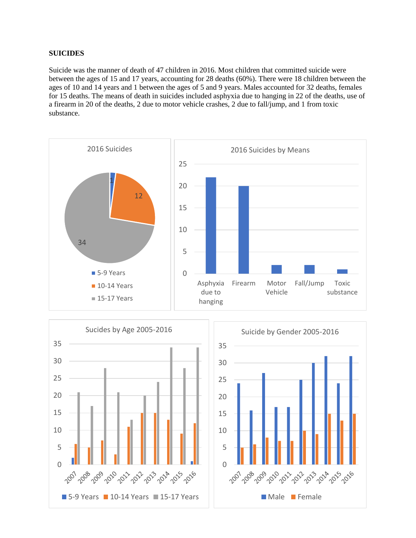# **SUICIDES**

Suicide was the manner of death of 47 children in 2016. Most children that committed suicide were between the ages of 15 and 17 years, accounting for 28 deaths (60%). There were 18 children between the ages of 10 and 14 years and 1 between the ages of 5 and 9 years. Males accounted for 32 deaths, females for 15 deaths. The means of death in suicides included asphyxia due to hanging in 22 of the deaths, use of a firearm in 20 of the deaths, 2 due to motor vehicle crashes, 2 due to fall/jump, and 1 from toxic substance.



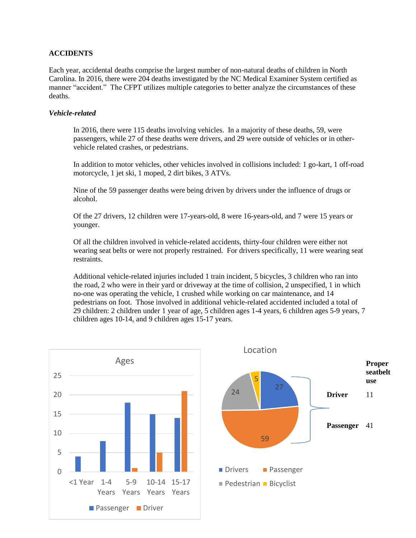# **ACCIDENTS**

Each year, accidental deaths comprise the largest number of non-natural deaths of children in North Carolina. In 2016, there were 204 deaths investigated by the NC Medical Examiner System certified as manner "accident." The CFPT utilizes multiple categories to better analyze the circumstances of these deaths.

#### *Vehicle-related*

In 2016, there were 115 deaths involving vehicles. In a majority of these deaths, 59, were passengers, while 27 of these deaths were drivers, and 29 were outside of vehicles or in othervehicle related crashes, or pedestrians.

In addition to motor vehicles, other vehicles involved in collisions included: 1 go-kart, 1 off-road motorcycle, 1 jet ski, 1 moped, 2 dirt bikes, 3 ATVs.

Nine of the 59 passenger deaths were being driven by drivers under the influence of drugs or alcohol.

Of the 27 drivers, 12 children were 17-years-old, 8 were 16-years-old, and 7 were 15 years or younger.

Of all the children involved in vehicle-related accidents, thirty-four children were either not wearing seat belts or were not properly restrained. For drivers specifically, 11 were wearing seat restraints.

Additional vehicle-related injuries included 1 train incident, 5 bicycles, 3 children who ran into the road, 2 who were in their yard or driveway at the time of collision, 2 unspecified, 1 in which no-one was operating the vehicle, 1 crushed while working on car maintenance, and 14 pedestrians on foot. Those involved in additional vehicle-related accidented included a total of 29 children: 2 children under 1 year of age, 5 children ages 1-4 years, 6 children ages 5-9 years, 7 children ages 10-14, and 9 children ages 15-17 years.

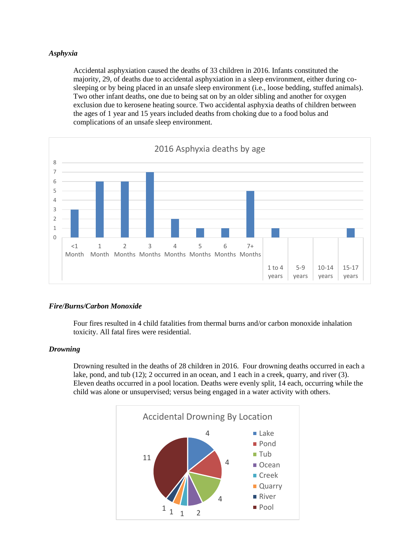#### *Asphyxia*

Accidental asphyxiation caused the deaths of 33 children in 2016. Infants constituted the majority, 29, of deaths due to accidental asphyxiation in a sleep environment, either during cosleeping or by being placed in an unsafe sleep environment (i.e., loose bedding, stuffed animals). Two other infant deaths, one due to being sat on by an older sibling and another for oxygen exclusion due to kerosene heating source. Two accidental asphyxia deaths of children between the ages of 1 year and 15 years included deaths from choking due to a food bolus and complications of an unsafe sleep environment.



# *Fire/Burns/Carbon Monoxide*

Four fires resulted in 4 child fatalities from thermal burns and/or carbon monoxide inhalation toxicity. All fatal fires were residential.

#### *Drowning*

Drowning resulted in the deaths of 28 children in 2016. Four drowning deaths occurred in each a lake, pond, and tub (12); 2 occurred in an ocean, and 1 each in a creek, quarry, and river (3). Eleven deaths occurred in a pool location. Deaths were evenly split, 14 each, occurring while the child was alone or unsupervised; versus being engaged in a water activity with others.

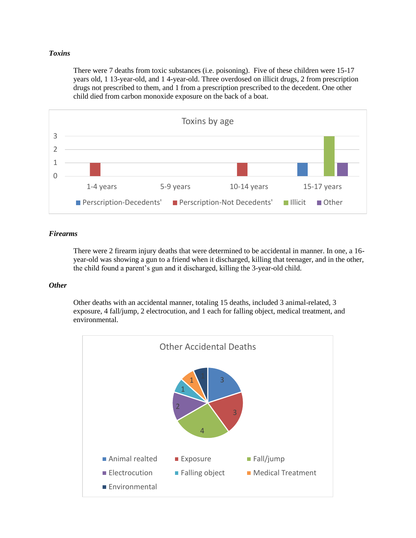### *Toxins*

There were 7 deaths from toxic substances (i.e. poisoning). Five of these children were 15-17 years old, 1 13-year-old, and 1 4-year-old. Three overdosed on illicit drugs, 2 from prescription drugs not prescribed to them, and 1 from a prescription prescribed to the decedent. One other child died from carbon monoxide exposure on the back of a boat.



### *Firearms*

There were 2 firearm injury deaths that were determined to be accidental in manner. In one, a 16 year-old was showing a gun to a friend when it discharged, killing that teenager, and in the other, the child found a parent's gun and it discharged, killing the 3-year-old child.

#### *Other*

Other deaths with an accidental manner, totaling 15 deaths, included 3 animal-related, 3 exposure, 4 fall/jump, 2 electrocution, and 1 each for falling object, medical treatment, and environmental.

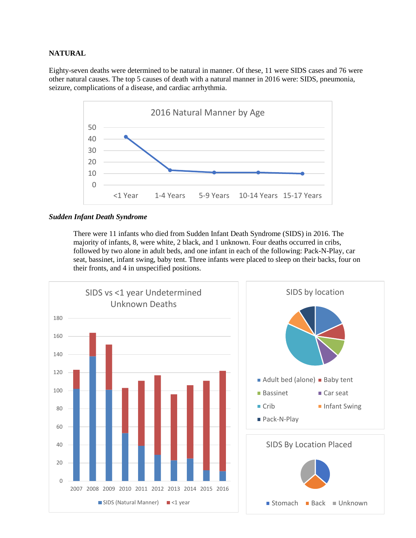# **NATURAL**

Eighty-seven deaths were determined to be natural in manner. Of these, 11 were SIDS cases and 76 were other natural causes. The top 5 causes of death with a natural manner in 2016 were: SIDS, pneumonia, seizure, complications of a disease, and cardiac arrhythmia.



#### *Sudden Infant Death Syndrome*

There were 11 infants who died from Sudden Infant Death Syndrome (SIDS) in 2016. The majority of infants, 8, were white, 2 black, and 1 unknown. Four deaths occurred in cribs, followed by two alone in adult beds, and one infant in each of the following: Pack-N-Play, car seat, bassinet, infant swing, baby tent. Three infants were placed to sleep on their backs, four on their fronts, and 4 in unspecified positions.